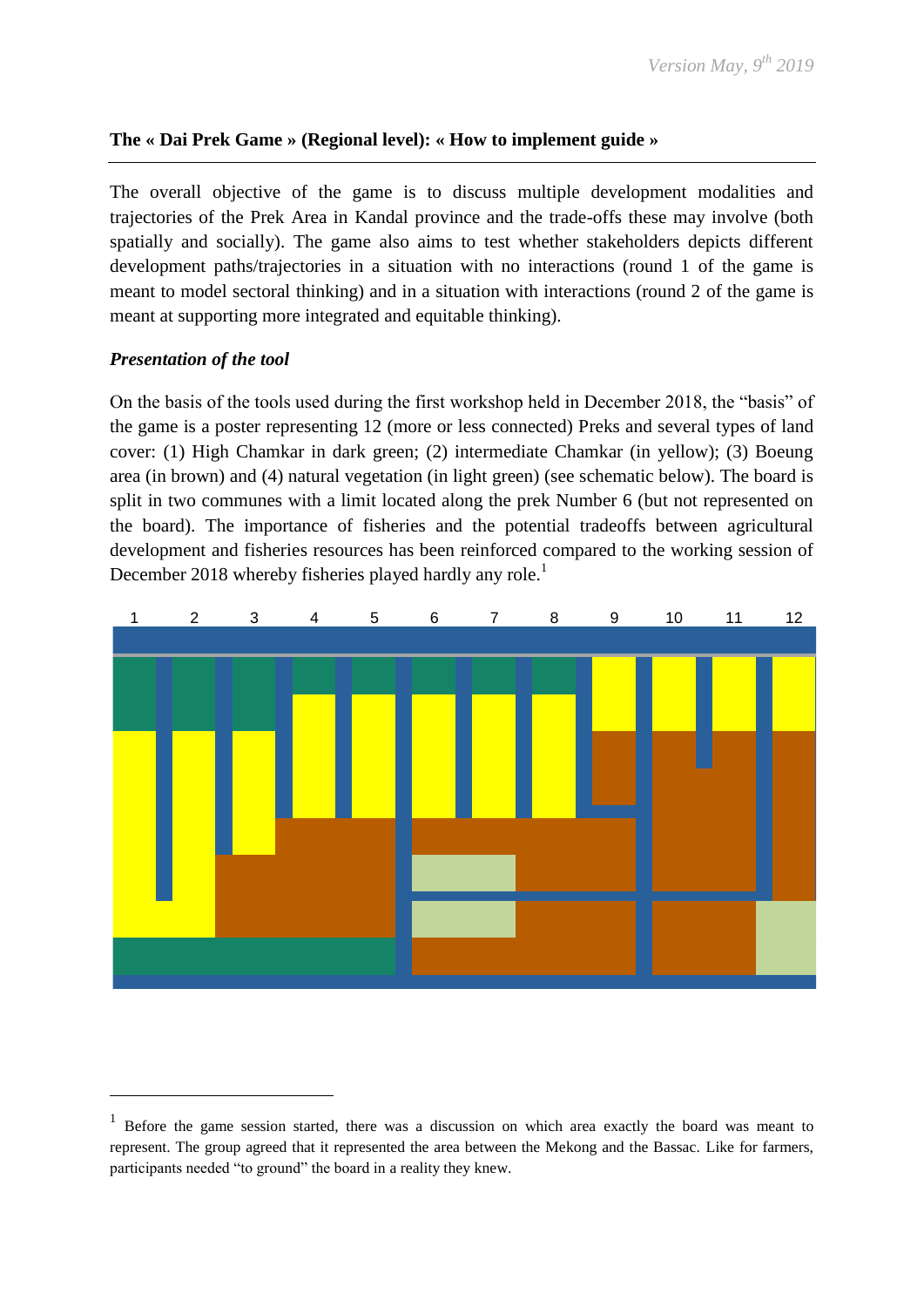# **The « Dai Prek Game » (Regional level): « How to implement guide »**

The overall objective of the game is to discuss multiple development modalities and trajectories of the Prek Area in Kandal province and the trade-offs these may involve (both spatially and socially). The game also aims to test whether stakeholders depicts different development paths/trajectories in a situation with no interactions (round 1 of the game is meant to model sectoral thinking) and in a situation with interactions (round 2 of the game is meant at supporting more integrated and equitable thinking).

# *Presentation of the tool*

1

On the basis of the tools used during the first workshop held in December 2018, the "basis" of the game is a poster representing 12 (more or less connected) Preks and several types of land cover: (1) High Chamkar in dark green; (2) intermediate Chamkar (in yellow); (3) Boeung area (in brown) and (4) natural vegetation (in light green) (see schematic below). The board is split in two communes with a limit located along the prek Number 6 (but not represented on the board). The importance of fisheries and the potential tradeoffs between agricultural development and fisheries resources has been reinforced compared to the working session of December 2018 whereby fisheries played hardly any role.<sup>1</sup>



<sup>&</sup>lt;sup>1</sup> Before the game session started, there was a discussion on which area exactly the board was meant to represent. The group agreed that it represented the area between the Mekong and the Bassac. Like for farmers, participants needed "to ground" the board in a reality they knew.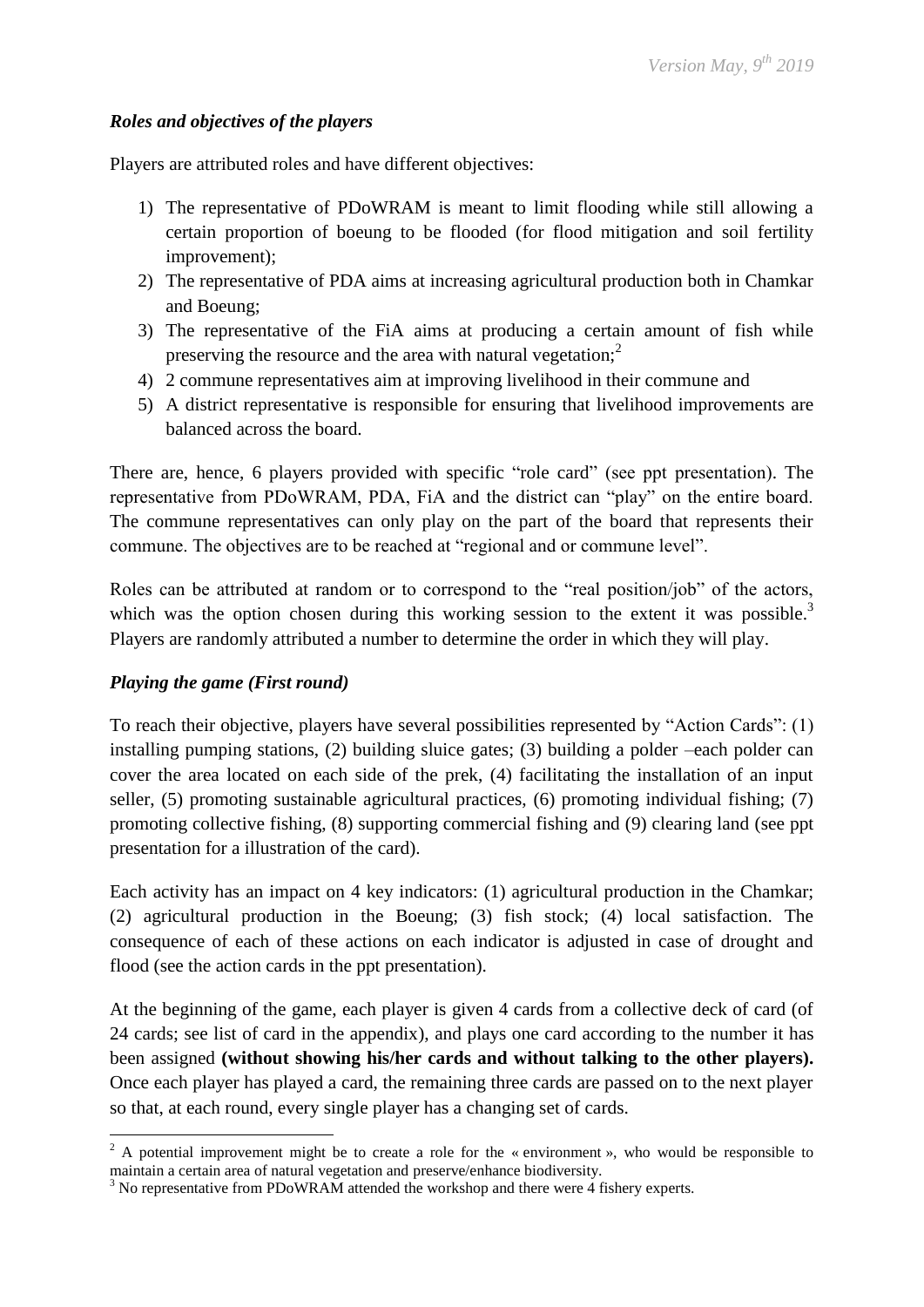### *Roles and objectives of the players*

Players are attributed roles and have different objectives:

- 1) The representative of PDoWRAM is meant to limit flooding while still allowing a certain proportion of boeung to be flooded (for flood mitigation and soil fertility improvement);
- 2) The representative of PDA aims at increasing agricultural production both in Chamkar and Boeung;
- 3) The representative of the FiA aims at producing a certain amount of fish while preserving the resource and the area with natural vegetation; $<sup>2</sup>$ </sup>
- 4) 2 commune representatives aim at improving livelihood in their commune and
- 5) A district representative is responsible for ensuring that livelihood improvements are balanced across the board.

There are, hence, 6 players provided with specific "role card" (see ppt presentation). The representative from PDoWRAM, PDA, FiA and the district can "play" on the entire board. The commune representatives can only play on the part of the board that represents their commune. The objectives are to be reached at "regional and or commune level".

Roles can be attributed at random or to correspond to the "real position/job" of the actors, which was the option chosen during this working session to the extent it was possible.<sup>3</sup> Players are randomly attributed a number to determine the order in which they will play.

# *Playing the game (First round)*

1

To reach their objective, players have several possibilities represented by "Action Cards": (1) installing pumping stations, (2) building sluice gates; (3) building a polder –each polder can cover the area located on each side of the prek, (4) facilitating the installation of an input seller, (5) promoting sustainable agricultural practices, (6) promoting individual fishing; (7) promoting collective fishing, (8) supporting commercial fishing and (9) clearing land (see ppt presentation for a illustration of the card).

Each activity has an impact on 4 key indicators: (1) agricultural production in the Chamkar; (2) agricultural production in the Boeung; (3) fish stock; (4) local satisfaction. The consequence of each of these actions on each indicator is adjusted in case of drought and flood (see the action cards in the ppt presentation).

At the beginning of the game, each player is given 4 cards from a collective deck of card (of 24 cards; see list of card in the appendix), and plays one card according to the number it has been assigned **(without showing his/her cards and without talking to the other players).** Once each player has played a card, the remaining three cards are passed on to the next player so that, at each round, every single player has a changing set of cards.

 $2^2$  A potential improvement might be to create a role for the « environment », who would be responsible to maintain a certain area of natural vegetation and preserve/enhance biodiversity.

 $3$  No representative from PDoWRAM attended the workshop and there were 4 fishery experts.